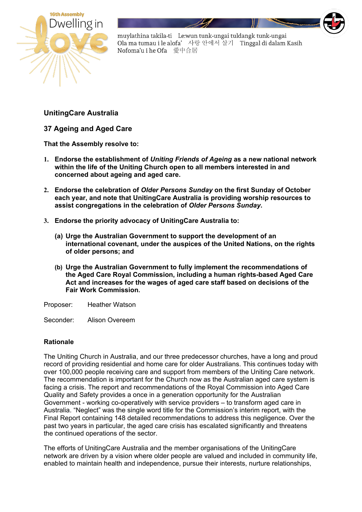

muylathina takila-ti Le:wun tunk-ungai tuldangk tunk-ungai Ola ma tumau i le alofa' 사랑 안에서 살기 Tinggal di dalam Kasih Nofoma'u i he Ofa 愛中合居

**UnitingCare Australia**

**37 Ageing and Aged Care**

**That the Assembly resolve to:**

- **1. Endorse the establishment of** *Uniting Friends of Ageing* **as a new national network within the life of the Uniting Church open to all members interested in and concerned about ageing and aged care.**
- **2. Endorse the celebration of** *Older Persons Sunday* **on the first Sunday of October each year, and note that UnitingCare Australia is providing worship resources to assist congregations in the celebration of** *Older Persons Sunday***.**
- **3. Endorse the priority advocacy of UnitingCare Australia to:**
	- **(a) Urge the Australian Government to support the development of an international covenant, under the auspices of the United Nations, on the rights of older persons; and**
	- **(b) Urge the Australian Government to fully implement the recommendations of the Aged Care Royal Commission, including a human rights-based Aged Care Act and increases for the wages of aged care staff based on decisions of the Fair Work Commission.**

Proposer: Heather Watson

Seconder: Alison Overeem

## **Rationale**

The Uniting Church in Australia, and our three predecessor churches, have a long and proud record of providing residential and home care for older Australians. This continues today with over 100,000 people receiving care and support from members of the Uniting Care network. The recommendation is important for the Church now as the Australian aged care system is facing a crisis. The report and recommendations of the Royal Commission into Aged Care Quality and Safety provides a once in a generation opportunity for the Australian Government - working co-operatively with service providers – to transform aged care in Australia. "Neglect" was the single word title for the Commission's interim report, with the Final Report containing 148 detailed recommendations to address this negligence. Over the past two years in particular, the aged care crisis has escalated significantly and threatens the continued operations of the sector.

The efforts of UnitingCare Australia and the member organisations of the UnitingCare network are driven by a vision where older people are valued and included in community life, enabled to maintain health and independence, pursue their interests, nurture relationships,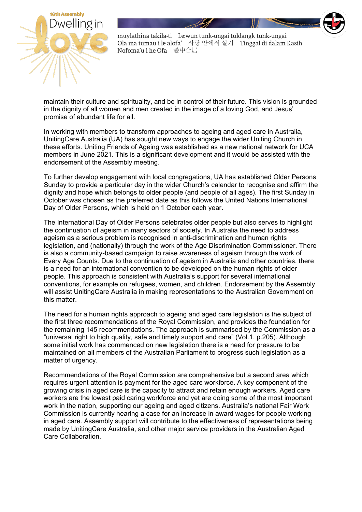

muylathina takila-ti Le:wun tunk-ungai tuldangk tunk-ungai Ola ma tumau i le alofa' 사랑 안에서 살기 Tinggal di dalam Kasih Nofoma'u i he Ofa 愛中合居

maintain their culture and spirituality, and be in control of their future. This vision is grounded in the dignity of all women and men created in the image of a loving God, and Jesus' promise of abundant life for all.

In working with members to transform approaches to ageing and aged care in Australia, UnitingCare Australia (UA) has sought new ways to engage the wider Uniting Church in these efforts. Uniting Friends of Ageing was established as a new national network for UCA members in June 2021. This is a significant development and it would be assisted with the endorsement of the Assembly meeting.

To further develop engagement with local congregations, UA has established Older Persons Sunday to provide a particular day in the wider Church's calendar to recognise and affirm the dignity and hope which belongs to older people (and people of all ages). The first Sunday in October was chosen as the preferred date as this follows the United Nations International Day of Older Persons, which is held on 1 October each year.

The International Day of Older Persons celebrates older people but also serves to highlight the continuation of ageism in many sectors of society. In Australia the need to address ageism as a serious problem is recognised in anti-discrimination and human rights legislation, and (nationally) through the work of the Age Discrimination Commissioner. There is also a community-based campaign to raise awareness of ageism through the work of Every Age Counts. Due to the continuation of ageism in Australia and other countries, there is a need for an international convention to be developed on the human rights of older people. This approach is consistent with Australia's support for several international conventions, for example on refugees, women, and children. Endorsement by the Assembly will assist UnitingCare Australia in making representations to the Australian Government on this matter.

The need for a human rights approach to ageing and aged care legislation is the subject of the first three recommendations of the Royal Commission, and provides the foundation for the remaining 145 recommendations. The approach is summarised by the Commission as a "universal right to high quality, safe and timely support and care" (Vol.1, p.205). Although some initial work has commenced on new legislation there is a need for pressure to be maintained on all members of the Australian Parliament to progress such legislation as a matter of urgency.

Recommendations of the Royal Commission are comprehensive but a second area which requires urgent attention is payment for the aged care workforce. A key component of the growing crisis in aged care is the capacity to attract and retain enough workers. Aged care workers are the lowest paid caring workforce and yet are doing some of the most important work in the nation, supporting our ageing and aged citizens. Australia's national Fair Work Commission is currently hearing a case for an increase in award wages for people working in aged care. Assembly support will contribute to the effectiveness of representations being made by UnitingCare Australia, and other major service providers in the Australian Aged Care Collaboration.